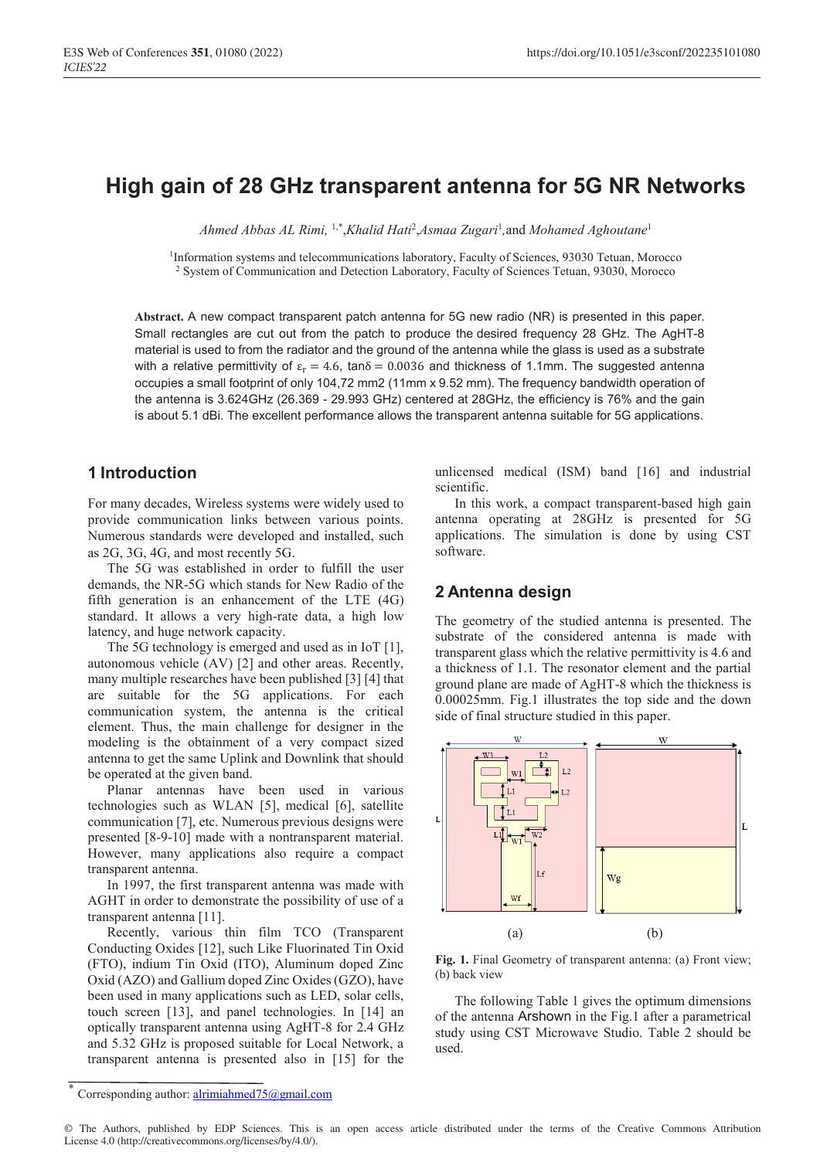# **High gain of 28 GHz transparent antenna for 5G NR Networks**

*Ahmed Abbas AL Rimi,* 1,\*,*Khalid Hati*<sup>2</sup> ,*Asmaa Zugari*<sup>1</sup> *,*and *Mohamed Aghoutane*<sup>1</sup>

<sup>1</sup>Information systems and telecommunications laboratory, Faculty of Sciences, 93030 Tetuan, Morocco <sup>2</sup> System of Communication and Detection Laboratory, Faculty of Sciences Tetuan, 93030, Morocco

**Abstract.** A new compact transparent patch antenna for 5G new radio (NR) is presented in this paper. Small rectangles are cut out from the patch to produce the desired frequency 28 GHz. The AgHT-8 material is used to from the radiator and the ground of the antenna while the glass is used as a substrate with a relative permittivity of  $\varepsilon_r = 4.6$ , tan $\delta = 0.0036$  and thickness of 1.1mm. The suggested antenna occupies a small footprint of only 104,72 mm2 (11mm x 9.52 mm). The frequency bandwidth operation of the antenna is 3.624GHz (26.369 - 29.993 GHz) centered at 28GHz, the efficiency is 76% and the gain is about 5.1 dBi. The excellent performance allows the transparent antenna suitable for 5G applications.

## **1 Introduction**

For many decades, Wireless systems were widely used to provide communication links between various points. Numerous standards were developed and installed, such as 2G, 3G, 4G, and most recently 5G.

The 5G was established in order to fulfill the user demands, the NR-5G which stands for New Radio of the fifth generation is an enhancement of the LTE (4G) standard. It allows a very high-rate data, a high low latency, and huge network capacity.

The 5G technology is emerged and used as in IoT [1], autonomous vehicle (AV) [2] and other areas. Recently, many multiple researches have been published [3] [4] that are suitable for the 5G applications. For each communication system, the antenna is the critical element. Thus, the main challenge for designer in the modeling is the obtainment of a very compact sized antenna to get the same Uplink and Downlink that should be operated at the given band.

Planar antennas have been used in various technologies such as WLAN [5], medical [6], satellite communication [7], etc. Numerous previous designs were presented [8-9-10] made with a nontransparent material. However, many applications also require a compact transparent antenna.

In 1997, the first transparent antenna was made with AGHT in order to demonstrate the possibility of use of a transparent antenna [11].

Recently, various thin film TCO (Transparent Conducting Oxides [12], such Like Fluorinated Tin Oxid (FTO), indium Tin Oxid (ITO), Aluminum doped Zinc Oxid (AZO) and Gallium doped Zinc Oxides (GZO), have been used in many applications such as LED, solar cells, touch screen [13], and panel technologies. In [14] an optically transparent antenna using AgHT-8 for 2.4 GHz and 5.32 GHz is proposed suitable for Local Network, a transparent antenna is presented also in [15] for the unlicensed medical (ISM) band [16] and industrial scientific.

In this work, a compact transparent-based high gain antenna operating at 28GHz is presented for 5G applications. The simulation is done by using CST software.

## **2 Antenna design**

The geometry of the studied antenna is presented. The substrate of the considered antenna is made with transparent glass which the relative permittivity is 4.6 and a thickness of 1.1. The resonator element and the partial ground plane are made of AgHT-8 which the thickness is 0.00025mm. Fig.1 illustrates the top side and the down side of final structure studied in this paper.



**Fig. 1.** Final Geometry of transparent antenna: (a) Front view; (b) back view

The following Table 1 gives the optimum dimensions of the antenna Arshown in the Fig.1 after a parametrical study using CST Microwave Studio. Table 2 should be used.

Corresponding author: alrimiahmed $75$ @gmail.com

<sup>©</sup> The Authors, published by EDP Sciences. This is an open access article distributed under the terms of the Creative Commons Attribution License 4.0 (http://creativecommons.org/licenses/by/4.0/).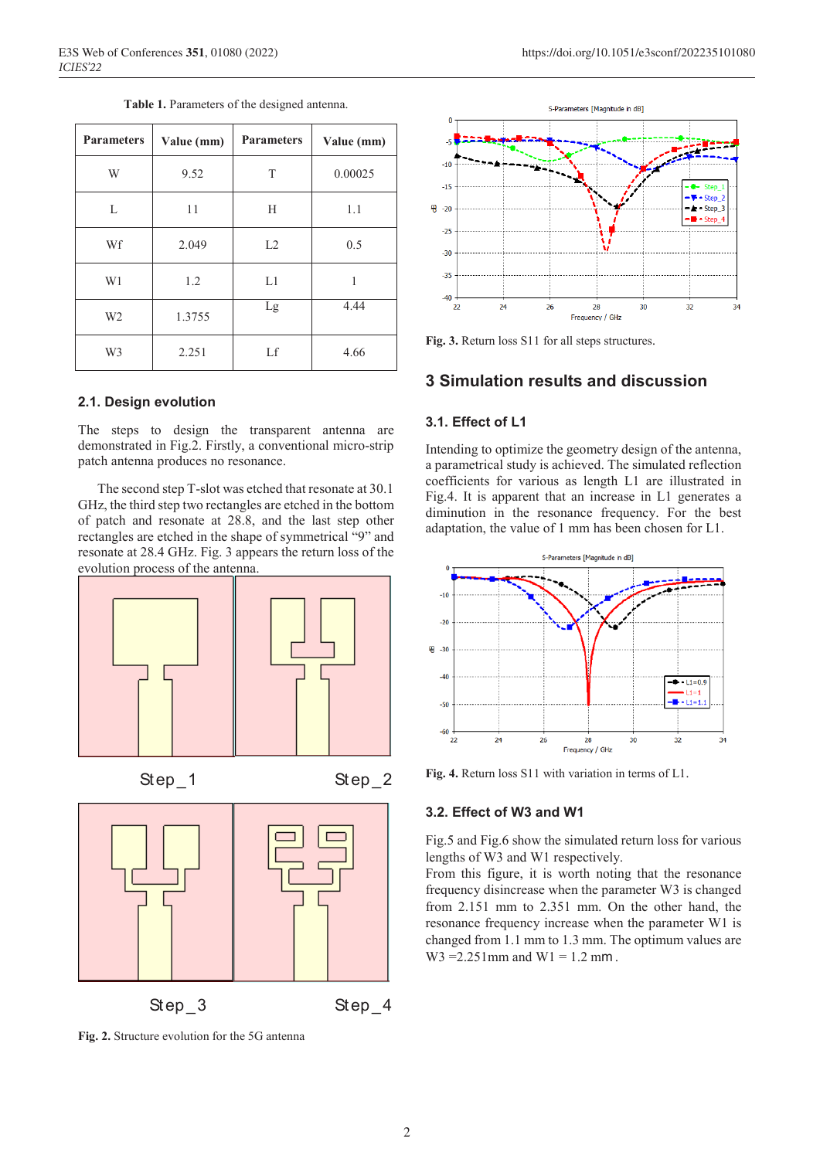| <b>Parameters</b> | Value (mm) | <b>Parameters</b> | Value (mm) |  |
|-------------------|------------|-------------------|------------|--|
| W                 | 9.52       | T                 | 0.00025    |  |
| L                 | 11         | H                 | 1.1        |  |
| Wf                | 2.049      |                   | 0.5        |  |
| W1                | 1.2        |                   | 1          |  |
| W <sub>2</sub>    | 1.3755     |                   | 4.44       |  |
| W <sub>3</sub>    | 2.251      |                   | 4.66       |  |

**Table 1.** Parameters of the designed antenna.

### **2.1. Design evolution**

The steps to design the transparent antenna are demonstrated in Fig.2. Firstly, a conventional micro-strip patch antenna produces no resonance.

The second step T-slot was etched that resonate at 30.1 GHz, the third step two rectangles are etched in the bottom of patch and resonate at 28.8, and the last step other rectangles are etched in the shape of symmetrical "9" and resonate at 28.4 GHz. Fig. 3 appears the return loss of the evolution process of the antenna.









**Fig. 2.** Structure evolution for the 5G antenna



**Fig. 3.** Return loss S11 for all steps structures.

### **3 Simulation results and discussion**

#### **3.1. Effect of L1**

Intending to optimize the geometry design of the antenna, a parametrical study is achieved. The simulated reflection coefficients for various as length L1 are illustrated in Fig.4. It is apparent that an increase in L1 generates a diminution in the resonance frequency. For the best adaptation, the value of 1 mm has been chosen for L1.



**Fig. 4.** Return loss S11 with variation in terms of L1.

### **3.2. Effect of W3 and W1**

Fig.5 and Fig.6 show the simulated return loss for various lengths of W3 and W1 respectively.

From this figure, it is worth noting that the resonance frequency disincrease when the parameter W3 is changed from 2.151 mm to 2.351 mm. On the other hand, the resonance frequency increase when the parameter W1 is changed from 1.1 mm to 1.3 mm. The optimum values are  $W3 = 2.251$  mm and  $W1 = 1.2$  mm.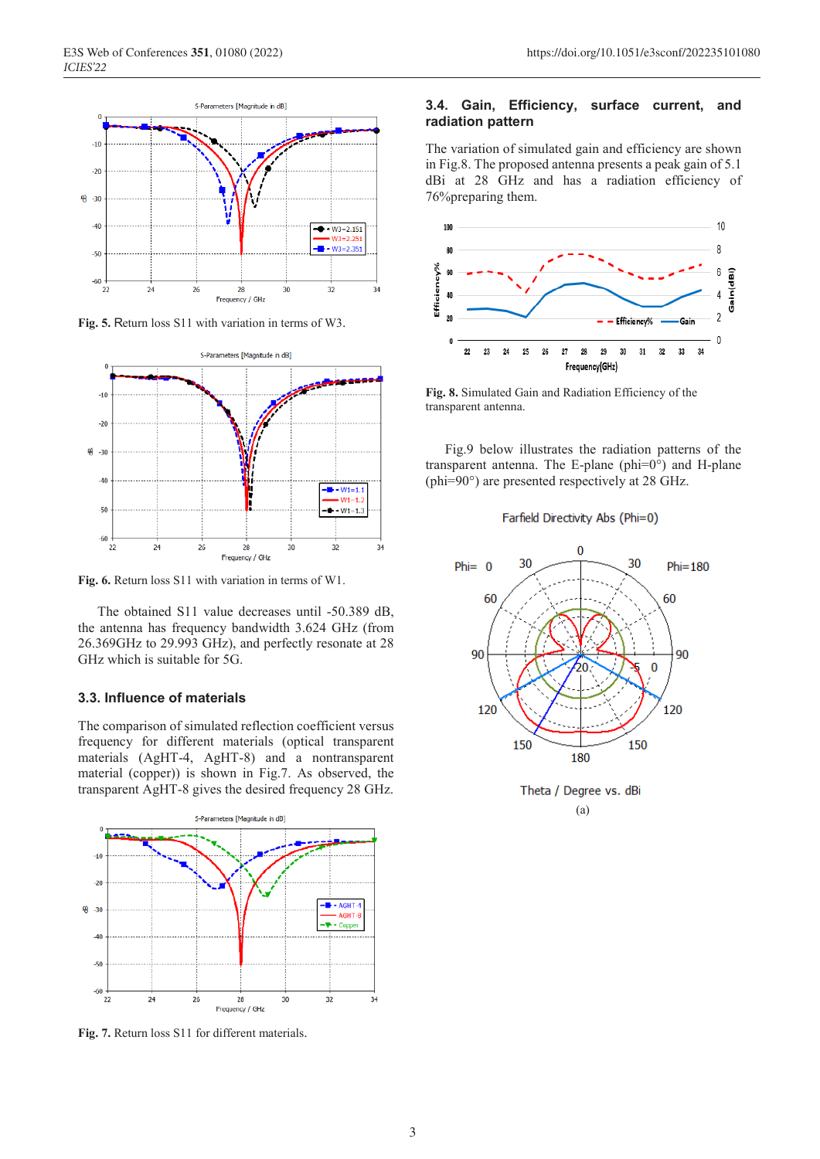

**Fig. 5.** Return loss S11 with variation in terms of W3.



**Fig. 6.** Return loss S11 with variation in terms of W1.

The obtained S11 value decreases until -50.389 dB, the antenna has frequency bandwidth 3.624 GHz (from 26.369GHz to 29.993 GHz), and perfectly resonate at 28 GHz which is suitable for 5G.

### **3.3. Influence of materials**

The comparison of simulated reflection coefficient versus frequency for different materials (optical transparent materials (AgHT-4, AgHT-8) and a nontransparent material (copper)) is shown in Fig.7. As observed, the transparent AgHT-8 gives the desired frequency 28 GHz.



**Fig. 7.** Return loss S11 for different materials.

### **3.4. Gain, Efficiency, surface current, and radiation pattern**

The variation of simulated gain and efficiency are shown in Fig.8. The proposed antenna presents a peak gain of 5.1 dBi at 28 GHz and has a radiation efficiency of 76%preparing them.



**Fig. 8.** Simulated Gain and Radiation Efficiency of the transparent antenna.

Fig.9 below illustrates the radiation patterns of the transparent antenna. The E-plane (phi=0°) and H-plane (phi=90°) are presented respectively at 28 GHz.

#### Farfield Directivity Abs (Phi=0)

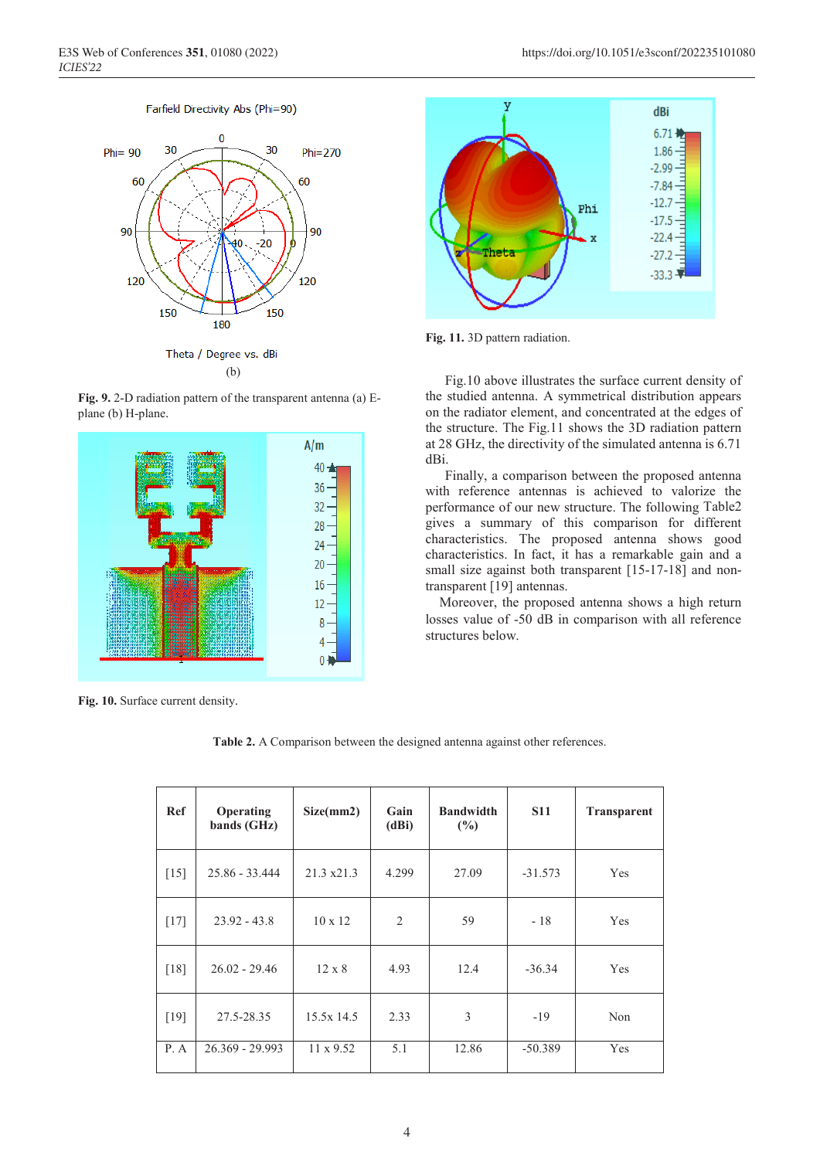#### Farfield Directivity Abs (Phi=90)



**Fig. 9.** 2-D radiation pattern of the transparent antenna (a) Eplane (b) H-plane.



**Fig. 10.** Surface current density.



**Fig. 11.** 3D pattern radiation.

Fig.10 above illustrates the surface current density of the studied antenna. A symmetrical distribution appears on the radiator element, and concentrated at the edges of the structure. The Fig.11 shows the 3D radiation pattern at 28 GHz, the directivity of the simulated antenna is 6.71 dBi.

Finally, a comparison between the proposed antenna with reference antennas is achieved to valorize the performance of our new structure. The following Table2 gives a summary of this comparison for different characteristics. The proposed antenna shows good characteristics. In fact, it has a remarkable gain and a small size against both transparent [15-17-18] and nontransparent [19] antennas.

 Moreover, the proposed antenna shows a high return losses value of -50 dB in comparison with all reference structures below.

**Table 2.** A Comparison between the designed antenna against other references.

| Ref    | <b>Operating</b><br>bands (GHz) | Size(mm2)          | Gain<br>(dBi) | <b>Bandwidth</b><br>$(\%)$ | <b>S11</b> | <b>Transparent</b> |
|--------|---------------------------------|--------------------|---------------|----------------------------|------------|--------------------|
| $[15]$ | $25.86 - 33.444$                | $21.3 \times 21.3$ | 4.299         | 27.09                      | $-31.573$  | Yes                |
| $[17]$ | $23.92 - 43.8$                  | $10 \times 12$     | 2             | 59                         | $-18$      | Yes                |
| $[18]$ | $26.02 - 29.46$                 | $12 \times 8$      | 4.93          | 12.4                       | $-36.34$   | Yes                |
| $[19]$ | 27.5-28.35                      | 15.5x 14.5         | 2.33          | 3                          | $-19$      | Non                |
| P. A   | $26.369 - 29.993$               | $11 \times 9.52$   | 5.1           | 12.86                      | $-50.389$  | Yes                |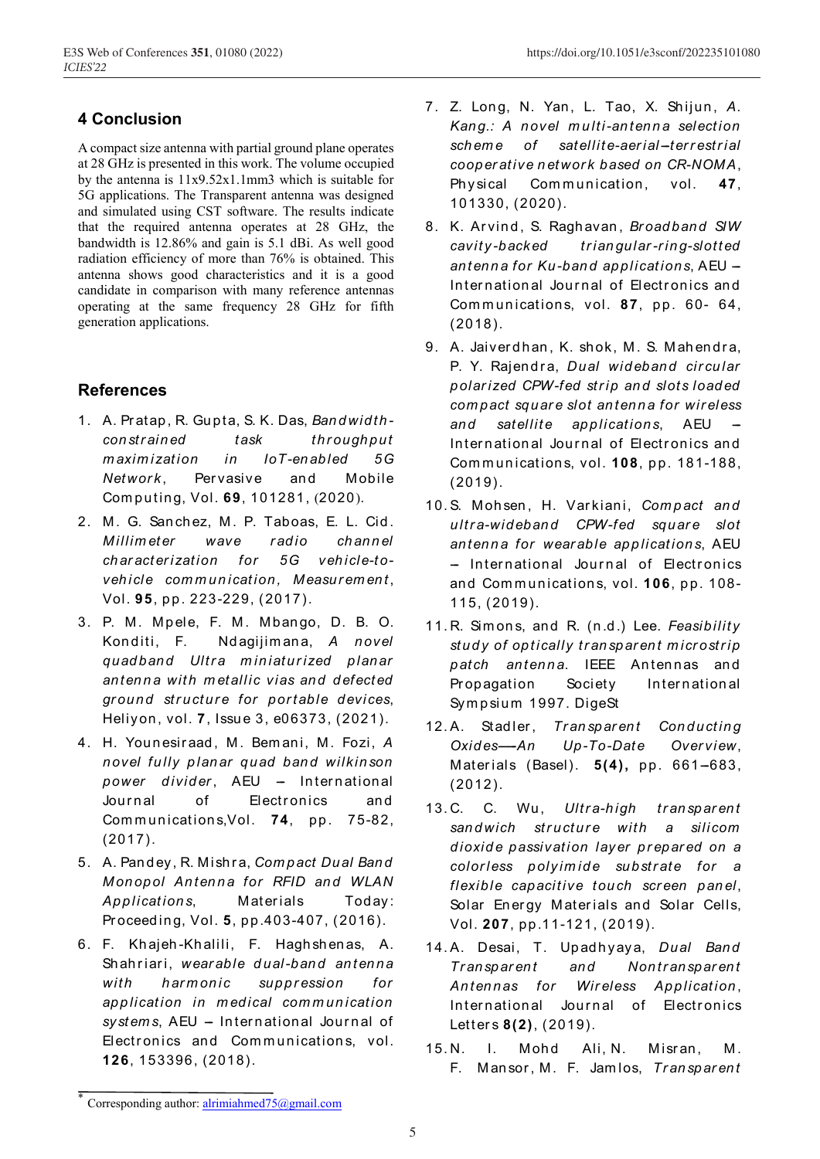# **4 Conclusion**

A compact size antenna with partial ground plane operates at 28 GHz is presented in this work. The volume occupied by the antenna is  $11x9.52x1.1mm3$  which is suitable for 5G applications. The Transparent antenna was designed and simulated using CST software. The results indicate that the required antenna operates at 28 GHz, the bandwidth is 12.86% and gain is 5.1 dBi. As well good radiation efficiency of more than 76% is obtained. This antenna shows good characteristics and it is a good candidate in comparison with many reference antennas operating at the same frequency 28 GHz for fifth generation applications.

# **References**

- 1. A. Pratap, R. Gupta, S. K. Das, Bandwidthconstrained task throughput maximization loT-enabled  $5G$ in Network. Pervasive and Mobile Computing, Vol. 69, 101281, (2020).
- 2. M. G. Sanchez, M. P. Taboas, E. L. Cid. **Millimeter** wave radio channel characterization for 5G vehicle-tovehicle communication, Measurement, Vol. 95, pp. 223-229, (2017).
- 3. P. M. Mpele, F. M. Mbango, D. B. O. Konditi. F. Ndagijimana, A novel quadband Ultra miniaturized planar antenna with metallic vias and defected ground structure for portable devices, Heliyon, vol. 7, Issue 3, e06373, (2021).
- 4. H. Younesiraad, M. Bemani, M. Fozi, A novel fully planar quad band wilkinson power divider, AEU - International Journal 0f Electronics and Communications, Vol. 74, pp. 75-82,  $(2017).$
- 5. A. Pandey, R. Mishra, Compact Dual Band Monopol Antenna for RFID and WLAN Applications, Materials Today: Proceeding, Vol. 5, pp.403-407, (2016).
- 6. F. Khajeh-Khalili, F. Haghshenas, A. Shahriari, wearable dual-band antenna with harmonic suppression  $for$ application in medical communication systems, AEU - International Journal of Electronics and Communications, vol. 126, 153396, (2018).
- 7. Z. Long, N. Yan, L. Tao, X. Shijun, A. Kang.: A novel multi-antenna selection satellite-aerial-terrestrial scheme of cooperative network based on CR-NOMA. Physical Communication, vol. 47. 101330, (2020).
- 8. K. Arvind, S. Raghavan, Broadband SIW cavity-backed triangular-ring-slotted antenna for Ku-band applications, AEU -International Journal of Electronics and Communications, vol. 87, pp. 60- 64,  $(2018).$
- 9. A. Jaiverdhan, K. shok, M. S. Mahendra, P. Y. Rajendra, Dual wideband circular polarized CPW-fed strip and slots loaded compact square slot antenna for wireless and satellite applications, AEU International Journal of Electronics and Communications, vol. 108, pp. 181-188,  $(2019).$
- 10.S. Mohsen, H. Varkiani, Compact and ultra-wideband CPW-fed square slot antenna for wearable applications. AEU - International Journal of Electronics and Communications, vol. 106, pp. 108- $115. (2019).$
- 11. R. Simons, and R. (n.d.) Lee. Feasibility study of optically transparent microstrip patch antenna. IEEE Antennas and Propagation Society International Sympsium 1997. DigeSt
- 12.A. Stadler, Transparent Conducting  $Oxides - An$  $Up-To-Date$ Overview, Materials (Basel). 5(4), pp. 661-683,  $(2012).$
- 13.C. C. Wu, Ultra-high transparent sandwich structure with a silicom dioxide passivation layer prepared on a colorless polyimide substrate for a flexible capacitive touch screen panel, Solar Energy Materials and Solar Cells, Vol. 207, pp.11-121, (2019).
- 14.A. Desai, T. Upadhyaya, Dual Band Transparent and Nontransparent Antennas for Wireless Application, International Journal of Electronics Letters 8(2), (2019).
- $15. N.$  $\mathbf{L}$ Mohd Ali, N. Misran. Μ. F. Mansor, M. F. Jamlos, Transparent

Corresponding author: alrimiahmed75@gmail.com